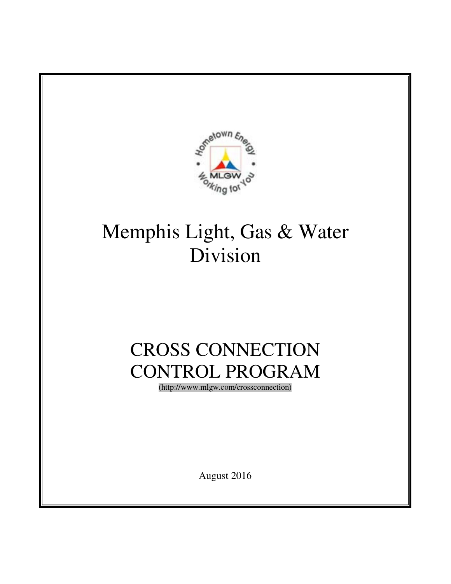

# Memphis Light, Gas & Water Division

# CROSS CONNECTION CONTROL PROGRAM

(http://www.mlgw.com/crossconnection)

August 2016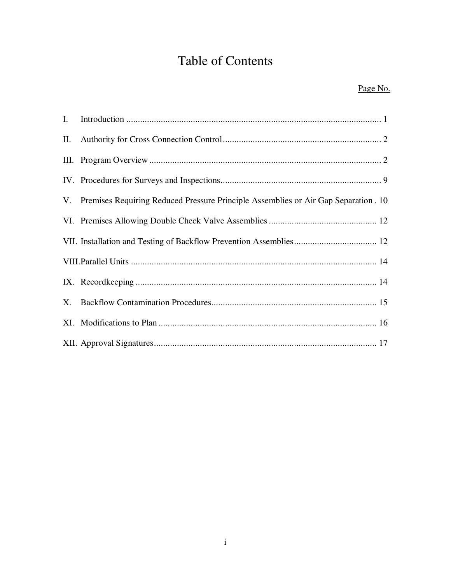# Table of Contents

#### Page No.

| Ι.  |                                                                                       |
|-----|---------------------------------------------------------------------------------------|
| II. |                                                                                       |
|     |                                                                                       |
|     |                                                                                       |
|     | V. Premises Requiring Reduced Pressure Principle Assemblies or Air Gap Separation. 10 |
|     |                                                                                       |
|     |                                                                                       |
|     |                                                                                       |
|     |                                                                                       |
|     |                                                                                       |
|     |                                                                                       |
|     |                                                                                       |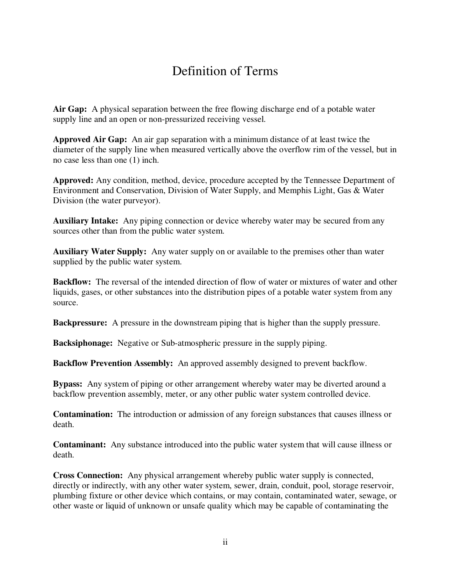# Definition of Terms

**Air Gap:** A physical separation between the free flowing discharge end of a potable water supply line and an open or non-pressurized receiving vessel.

**Approved Air Gap:** An air gap separation with a minimum distance of at least twice the diameter of the supply line when measured vertically above the overflow rim of the vessel, but in no case less than one (1) inch.

**Approved:** Any condition, method, device, procedure accepted by the Tennessee Department of Environment and Conservation, Division of Water Supply, and Memphis Light, Gas & Water Division (the water purveyor).

**Auxiliary Intake:** Any piping connection or device whereby water may be secured from any sources other than from the public water system.

**Auxiliary Water Supply:** Any water supply on or available to the premises other than water supplied by the public water system.

**Backflow:** The reversal of the intended direction of flow of water or mixtures of water and other liquids, gases, or other substances into the distribution pipes of a potable water system from any source.

**Backpressure:** A pressure in the downstream piping that is higher than the supply pressure.

**Backsiphonage:** Negative or Sub-atmospheric pressure in the supply piping.

**Backflow Prevention Assembly:** An approved assembly designed to prevent backflow.

**Bypass:** Any system of piping or other arrangement whereby water may be diverted around a backflow prevention assembly, meter, or any other public water system controlled device.

**Contamination:** The introduction or admission of any foreign substances that causes illness or death.

**Contaminant:** Any substance introduced into the public water system that will cause illness or death.

**Cross Connection:** Any physical arrangement whereby public water supply is connected, directly or indirectly, with any other water system, sewer, drain, conduit, pool, storage reservoir, plumbing fixture or other device which contains, or may contain, contaminated water, sewage, or other waste or liquid of unknown or unsafe quality which may be capable of contaminating the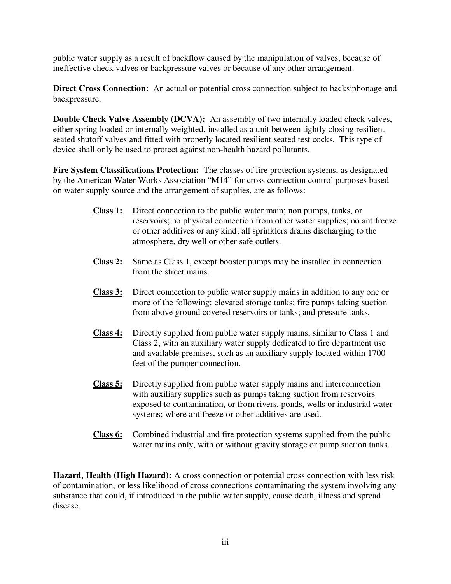public water supply as a result of backflow caused by the manipulation of valves, because of ineffective check valves or backpressure valves or because of any other arrangement.

**Direct Cross Connection:** An actual or potential cross connection subject to backsiphonage and backpressure.

**Double Check Valve Assembly (DCVA):** An assembly of two internally loaded check valves, either spring loaded or internally weighted, installed as a unit between tightly closing resilient seated shutoff valves and fitted with properly located resilient seated test cocks. This type of device shall only be used to protect against non-health hazard pollutants.

**Fire System Classifications Protection:** The classes of fire protection systems, as designated by the American Water Works Association "M14" for cross connection control purposes based on water supply source and the arrangement of supplies, are as follows:

- **Class 1:** Direct connection to the public water main; non pumps, tanks, or reservoirs; no physical connection from other water supplies; no antifreeze or other additives or any kind; all sprinklers drains discharging to the atmosphere, dry well or other safe outlets.
- **Class 2:** Same as Class 1, except booster pumps may be installed in connection from the street mains.
- **Class 3:** Direct connection to public water supply mains in addition to any one or more of the following: elevated storage tanks; fire pumps taking suction from above ground covered reservoirs or tanks; and pressure tanks.
- **Class 4:** Directly supplied from public water supply mains, similar to Class 1 and Class 2, with an auxiliary water supply dedicated to fire department use and available premises, such as an auxiliary supply located within 1700 feet of the pumper connection.
- **Class 5:** Directly supplied from public water supply mains and interconnection with auxiliary supplies such as pumps taking suction from reservoirs exposed to contamination, or from rivers, ponds, wells or industrial water systems; where antifreeze or other additives are used.
- **Class 6:** Combined industrial and fire protection systems supplied from the public water mains only, with or without gravity storage or pump suction tanks.

**Hazard, Health (High Hazard):** A cross connection or potential cross connection with less risk of contamination, or less likelihood of cross connections contaminating the system involving any substance that could, if introduced in the public water supply, cause death, illness and spread disease.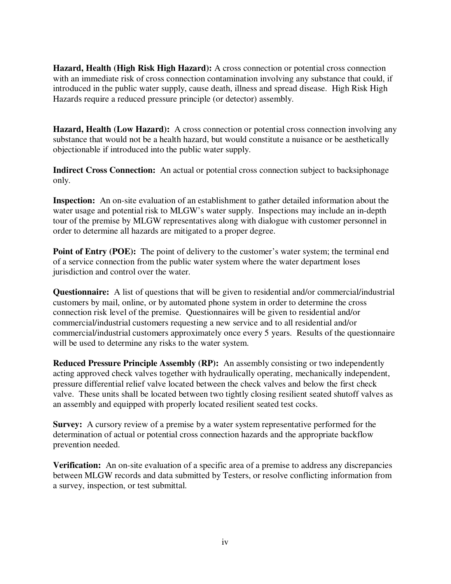**Hazard, Health (High Risk High Hazard):** A cross connection or potential cross connection with an immediate risk of cross connection contamination involving any substance that could, if introduced in the public water supply, cause death, illness and spread disease. High Risk High Hazards require a reduced pressure principle (or detector) assembly.

Hazard, Health (Low Hazard): A cross connection or potential cross connection involving any substance that would not be a health hazard, but would constitute a nuisance or be aesthetically objectionable if introduced into the public water supply.

**Indirect Cross Connection:** An actual or potential cross connection subject to backsiphonage only.

**Inspection:** An on-site evaluation of an establishment to gather detailed information about the water usage and potential risk to MLGW's water supply. Inspections may include an in-depth tour of the premise by MLGW representatives along with dialogue with customer personnel in order to determine all hazards are mitigated to a proper degree.

**Point of Entry (POE):** The point of delivery to the customer's water system; the terminal end of a service connection from the public water system where the water department loses jurisdiction and control over the water.

**Questionnaire:** A list of questions that will be given to residential and/or commercial/industrial customers by mail, online, or by automated phone system in order to determine the cross connection risk level of the premise. Questionnaires will be given to residential and/or commercial/industrial customers requesting a new service and to all residential and/or commercial/industrial customers approximately once every 5 years. Results of the questionnaire will be used to determine any risks to the water system.

**Reduced Pressure Principle Assembly (RP):** An assembly consisting or two independently acting approved check valves together with hydraulically operating, mechanically independent, pressure differential relief valve located between the check valves and below the first check valve. These units shall be located between two tightly closing resilient seated shutoff valves as an assembly and equipped with properly located resilient seated test cocks.

**Survey:** A cursory review of a premise by a water system representative performed for the determination of actual or potential cross connection hazards and the appropriate backflow prevention needed.

**Verification:** An on-site evaluation of a specific area of a premise to address any discrepancies between MLGW records and data submitted by Testers, or resolve conflicting information from a survey, inspection, or test submittal.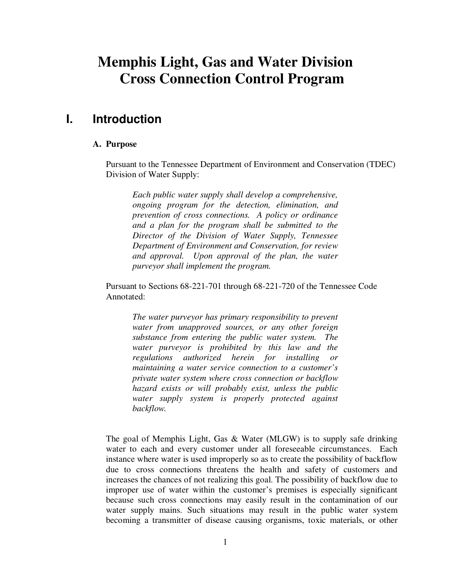# **Memphis Light, Gas and Water Division Cross Connection Control Program**

### **I. Introduction**

#### **A. Purpose**

Pursuant to the Tennessee Department of Environment and Conservation (TDEC) Division of Water Supply:

*Each public water supply shall develop a comprehensive, ongoing program for the detection, elimination, and prevention of cross connections. A policy or ordinance and a plan for the program shall be submitted to the Director of the Division of Water Supply, Tennessee Department of Environment and Conservation, for review and approval. Upon approval of the plan, the water purveyor shall implement the program.* 

Pursuant to Sections 68-221-701 through 68-221-720 of the Tennessee Code Annotated:

*The water purveyor has primary responsibility to prevent water from unapproved sources, or any other foreign substance from entering the public water system. The water purveyor is prohibited by this law and the regulations authorized herein for installing or maintaining a water service connection to a customer's private water system where cross connection or backflow hazard exists or will probably exist, unless the public water supply system is properly protected against backflow.* 

The goal of Memphis Light, Gas & Water (MLGW) is to supply safe drinking water to each and every customer under all foreseeable circumstances. Each instance where water is used improperly so as to create the possibility of backflow due to cross connections threatens the health and safety of customers and increases the chances of not realizing this goal. The possibility of backflow due to improper use of water within the customer's premises is especially significant because such cross connections may easily result in the contamination of our water supply mains. Such situations may result in the public water system becoming a transmitter of disease causing organisms, toxic materials, or other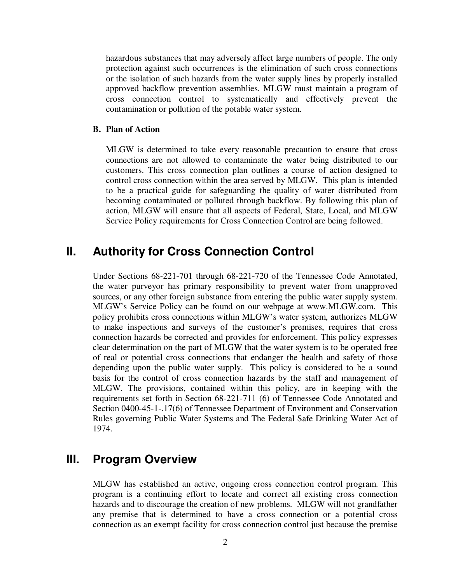hazardous substances that may adversely affect large numbers of people. The only protection against such occurrences is the elimination of such cross connections or the isolation of such hazards from the water supply lines by properly installed approved backflow prevention assemblies. MLGW must maintain a program of cross connection control to systematically and effectively prevent the contamination or pollution of the potable water system.

#### **B. Plan of Action**

MLGW is determined to take every reasonable precaution to ensure that cross connections are not allowed to contaminate the water being distributed to our customers. This cross connection plan outlines a course of action designed to control cross connection within the area served by MLGW. This plan is intended to be a practical guide for safeguarding the quality of water distributed from becoming contaminated or polluted through backflow. By following this plan of action, MLGW will ensure that all aspects of Federal, State, Local, and MLGW Service Policy requirements for Cross Connection Control are being followed.

### **II. Authority for Cross Connection Control**

Under Sections 68-221-701 through 68-221-720 of the Tennessee Code Annotated, the water purveyor has primary responsibility to prevent water from unapproved sources, or any other foreign substance from entering the public water supply system. MLGW's Service Policy can be found on our webpage at www.MLGW.com. This policy prohibits cross connections within MLGW's water system, authorizes MLGW to make inspections and surveys of the customer's premises, requires that cross connection hazards be corrected and provides for enforcement. This policy expresses clear determination on the part of MLGW that the water system is to be operated free of real or potential cross connections that endanger the health and safety of those depending upon the public water supply. This policy is considered to be a sound basis for the control of cross connection hazards by the staff and management of MLGW. The provisions, contained within this policy, are in keeping with the requirements set forth in Section 68-221-711 (6) of Tennessee Code Annotated and Section 0400-45-1-.17(6) of Tennessee Department of Environment and Conservation Rules governing Public Water Systems and The Federal Safe Drinking Water Act of 1974.

## **III. Program Overview**

MLGW has established an active, ongoing cross connection control program. This program is a continuing effort to locate and correct all existing cross connection hazards and to discourage the creation of new problems. MLGW will not grandfather any premise that is determined to have a cross connection or a potential cross connection as an exempt facility for cross connection control just because the premise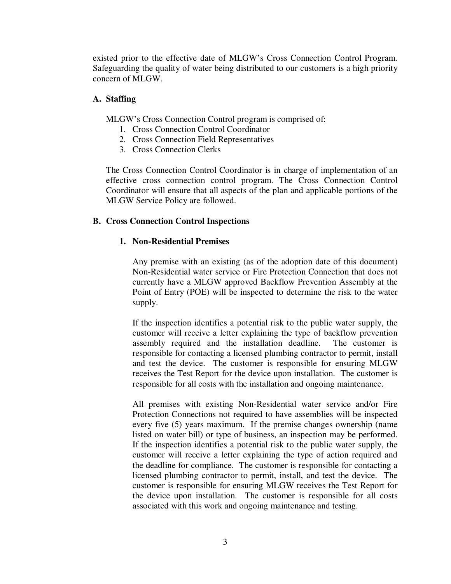existed prior to the effective date of MLGW's Cross Connection Control Program. Safeguarding the quality of water being distributed to our customers is a high priority concern of MLGW.

#### **A. Staffing**

MLGW's Cross Connection Control program is comprised of:

- 1. Cross Connection Control Coordinator
- 2. Cross Connection Field Representatives
- 3. Cross Connection Clerks

The Cross Connection Control Coordinator is in charge of implementation of an effective cross connection control program. The Cross Connection Control Coordinator will ensure that all aspects of the plan and applicable portions of the MLGW Service Policy are followed.

#### **B. Cross Connection Control Inspections**

#### **1. Non-Residential Premises**

Any premise with an existing (as of the adoption date of this document) Non-Residential water service or Fire Protection Connection that does not currently have a MLGW approved Backflow Prevention Assembly at the Point of Entry (POE) will be inspected to determine the risk to the water supply.

If the inspection identifies a potential risk to the public water supply, the customer will receive a letter explaining the type of backflow prevention assembly required and the installation deadline. The customer is responsible for contacting a licensed plumbing contractor to permit, install and test the device. The customer is responsible for ensuring MLGW receives the Test Report for the device upon installation. The customer is responsible for all costs with the installation and ongoing maintenance.

All premises with existing Non-Residential water service and/or Fire Protection Connections not required to have assemblies will be inspected every five (5) years maximum. If the premise changes ownership (name listed on water bill) or type of business, an inspection may be performed. If the inspection identifies a potential risk to the public water supply, the customer will receive a letter explaining the type of action required and the deadline for compliance. The customer is responsible for contacting a licensed plumbing contractor to permit, install, and test the device. The customer is responsible for ensuring MLGW receives the Test Report for the device upon installation. The customer is responsible for all costs associated with this work and ongoing maintenance and testing.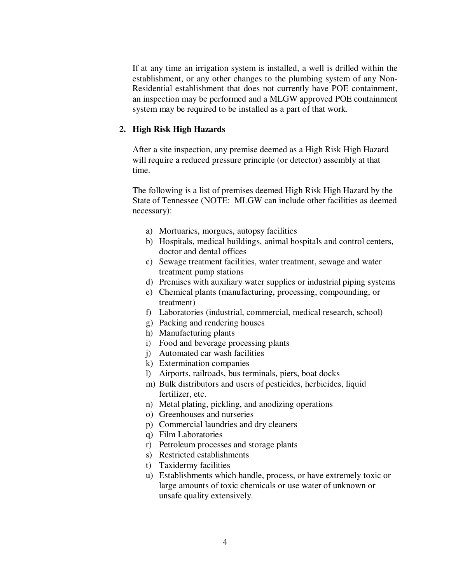If at any time an irrigation system is installed, a well is drilled within the establishment, or any other changes to the plumbing system of any Non-Residential establishment that does not currently have POE containment, an inspection may be performed and a MLGW approved POE containment system may be required to be installed as a part of that work.

#### **2. High Risk High Hazards**

After a site inspection, any premise deemed as a High Risk High Hazard will require a reduced pressure principle (or detector) assembly at that time.

The following is a list of premises deemed High Risk High Hazard by the State of Tennessee (NOTE: MLGW can include other facilities as deemed necessary):

- a) Mortuaries, morgues, autopsy facilities
- b) Hospitals, medical buildings, animal hospitals and control centers, doctor and dental offices
- c) Sewage treatment facilities, water treatment, sewage and water treatment pump stations
- d) Premises with auxiliary water supplies or industrial piping systems
- e) Chemical plants (manufacturing, processing, compounding, or treatment)
- f) Laboratories (industrial, commercial, medical research, school)
- g) Packing and rendering houses
- h) Manufacturing plants
- i) Food and beverage processing plants
- j) Automated car wash facilities
- k) Extermination companies
- l) Airports, railroads, bus terminals, piers, boat docks
- m) Bulk distributors and users of pesticides, herbicides, liquid fertilizer, etc.
- n) Metal plating, pickling, and anodizing operations
- o) Greenhouses and nurseries
- p) Commercial laundries and dry cleaners
- q) Film Laboratories
- r) Petroleum processes and storage plants
- s) Restricted establishments
- t) Taxidermy facilities
- u) Establishments which handle, process, or have extremely toxic or large amounts of toxic chemicals or use water of unknown or unsafe quality extensively.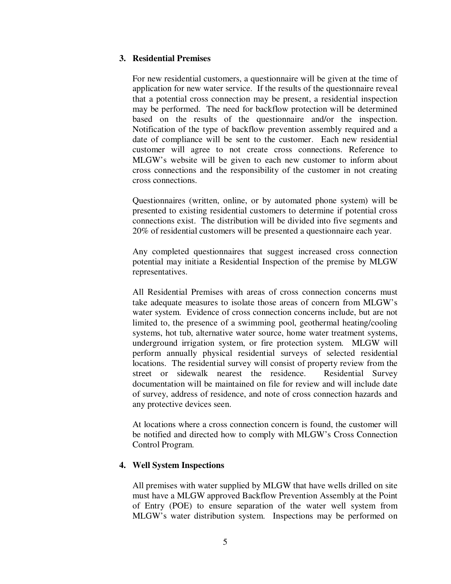#### **3. Residential Premises**

For new residential customers, a questionnaire will be given at the time of application for new water service. If the results of the questionnaire reveal that a potential cross connection may be present, a residential inspection may be performed. The need for backflow protection will be determined based on the results of the questionnaire and/or the inspection. Notification of the type of backflow prevention assembly required and a date of compliance will be sent to the customer. Each new residential customer will agree to not create cross connections. Reference to MLGW's website will be given to each new customer to inform about cross connections and the responsibility of the customer in not creating cross connections.

Questionnaires (written, online, or by automated phone system) will be presented to existing residential customers to determine if potential cross connections exist. The distribution will be divided into five segments and 20% of residential customers will be presented a questionnaire each year.

Any completed questionnaires that suggest increased cross connection potential may initiate a Residential Inspection of the premise by MLGW representatives.

All Residential Premises with areas of cross connection concerns must take adequate measures to isolate those areas of concern from MLGW's water system. Evidence of cross connection concerns include, but are not limited to, the presence of a swimming pool, geothermal heating/cooling systems, hot tub, alternative water source, home water treatment systems, underground irrigation system, or fire protection system. MLGW will perform annually physical residential surveys of selected residential locations. The residential survey will consist of property review from the street or sidewalk nearest the residence. Residential Survey documentation will be maintained on file for review and will include date of survey, address of residence, and note of cross connection hazards and any protective devices seen.

At locations where a cross connection concern is found, the customer will be notified and directed how to comply with MLGW's Cross Connection Control Program.

#### **4. Well System Inspections**

All premises with water supplied by MLGW that have wells drilled on site must have a MLGW approved Backflow Prevention Assembly at the Point of Entry (POE) to ensure separation of the water well system from MLGW's water distribution system. Inspections may be performed on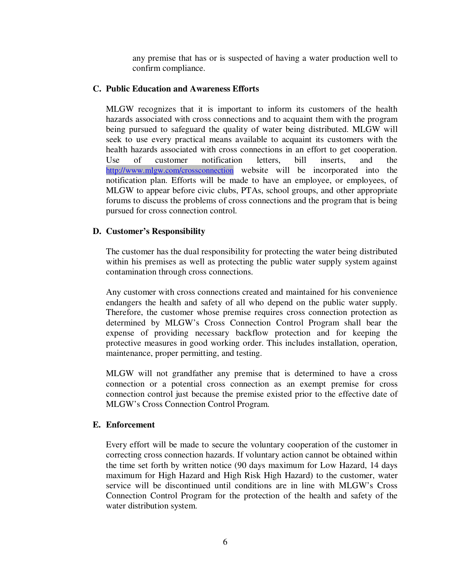any premise that has or is suspected of having a water production well to confirm compliance.

#### **C. Public Education and Awareness Efforts**

MLGW recognizes that it is important to inform its customers of the health hazards associated with cross connections and to acquaint them with the program being pursued to safeguard the quality of water being distributed. MLGW will seek to use every practical means available to acquaint its customers with the health hazards associated with cross connections in an effort to get cooperation. Use of customer notification letters, bill inserts, and the http://www.mlgw.com/crossconnection website will be incorporated into the notification plan. Efforts will be made to have an employee, or employees, of MLGW to appear before civic clubs, PTAs, school groups, and other appropriate forums to discuss the problems of cross connections and the program that is being pursued for cross connection control.

#### **D. Customer's Responsibility**

The customer has the dual responsibility for protecting the water being distributed within his premises as well as protecting the public water supply system against contamination through cross connections.

Any customer with cross connections created and maintained for his convenience endangers the health and safety of all who depend on the public water supply. Therefore, the customer whose premise requires cross connection protection as determined by MLGW's Cross Connection Control Program shall bear the expense of providing necessary backflow protection and for keeping the protective measures in good working order. This includes installation, operation, maintenance, proper permitting, and testing.

MLGW will not grandfather any premise that is determined to have a cross connection or a potential cross connection as an exempt premise for cross connection control just because the premise existed prior to the effective date of MLGW's Cross Connection Control Program.

#### **E. Enforcement**

Every effort will be made to secure the voluntary cooperation of the customer in correcting cross connection hazards. If voluntary action cannot be obtained within the time set forth by written notice (90 days maximum for Low Hazard, 14 days maximum for High Hazard and High Risk High Hazard) to the customer, water service will be discontinued until conditions are in line with MLGW's Cross Connection Control Program for the protection of the health and safety of the water distribution system.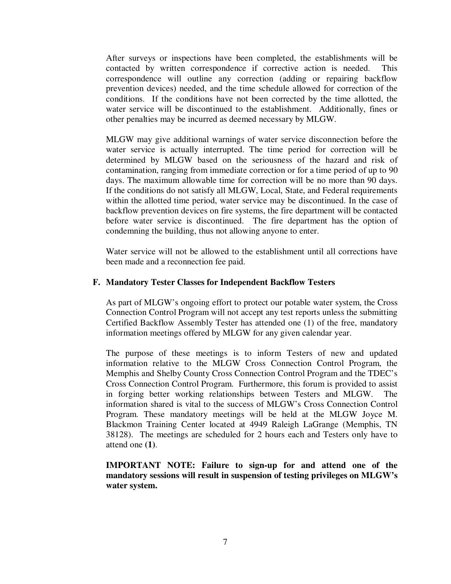After surveys or inspections have been completed, the establishments will be contacted by written correspondence if corrective action is needed. This correspondence will outline any correction (adding or repairing backflow prevention devices) needed, and the time schedule allowed for correction of the conditions. If the conditions have not been corrected by the time allotted, the water service will be discontinued to the establishment. Additionally, fines or other penalties may be incurred as deemed necessary by MLGW.

MLGW may give additional warnings of water service disconnection before the water service is actually interrupted. The time period for correction will be determined by MLGW based on the seriousness of the hazard and risk of contamination, ranging from immediate correction or for a time period of up to 90 days. The maximum allowable time for correction will be no more than 90 days. If the conditions do not satisfy all MLGW, Local, State, and Federal requirements within the allotted time period, water service may be discontinued. In the case of backflow prevention devices on fire systems, the fire department will be contacted before water service is discontinued. The fire department has the option of condemning the building, thus not allowing anyone to enter.

Water service will not be allowed to the establishment until all corrections have been made and a reconnection fee paid.

#### **F. Mandatory Tester Classes for Independent Backflow Testers**

As part of MLGW's ongoing effort to protect our potable water system, the Cross Connection Control Program will not accept any test reports unless the submitting Certified Backflow Assembly Tester has attended one (1) of the free, mandatory information meetings offered by MLGW for any given calendar year.

The purpose of these meetings is to inform Testers of new and updated information relative to the MLGW Cross Connection Control Program, the Memphis and Shelby County Cross Connection Control Program and the TDEC's Cross Connection Control Program. Furthermore, this forum is provided to assist in forging better working relationships between Testers and MLGW. The information shared is vital to the success of MLGW's Cross Connection Control Program. These mandatory meetings will be held at the MLGW Joyce M. Blackmon Training Center located at 4949 Raleigh LaGrange (Memphis, TN 38128). The meetings are scheduled for 2 hours each and Testers only have to attend one **(1)**.

**IMPORTANT NOTE: Failure to sign-up for and attend one of the mandatory sessions will result in suspension of testing privileges on MLGW's water system.**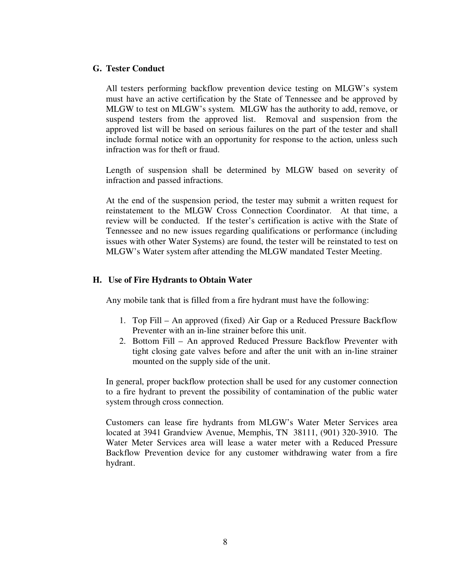#### **G. Tester Conduct**

All testers performing backflow prevention device testing on MLGW's system must have an active certification by the State of Tennessee and be approved by MLGW to test on MLGW's system. MLGW has the authority to add, remove, or suspend testers from the approved list. Removal and suspension from the approved list will be based on serious failures on the part of the tester and shall include formal notice with an opportunity for response to the action, unless such infraction was for theft or fraud.

Length of suspension shall be determined by MLGW based on severity of infraction and passed infractions.

At the end of the suspension period, the tester may submit a written request for reinstatement to the MLGW Cross Connection Coordinator. At that time, a review will be conducted. If the tester's certification is active with the State of Tennessee and no new issues regarding qualifications or performance (including issues with other Water Systems) are found, the tester will be reinstated to test on MLGW's Water system after attending the MLGW mandated Tester Meeting.

#### **H. Use of Fire Hydrants to Obtain Water**

Any mobile tank that is filled from a fire hydrant must have the following:

- 1. Top Fill An approved (fixed) Air Gap or a Reduced Pressure Backflow Preventer with an in-line strainer before this unit.
- 2. Bottom Fill An approved Reduced Pressure Backflow Preventer with tight closing gate valves before and after the unit with an in-line strainer mounted on the supply side of the unit.

In general, proper backflow protection shall be used for any customer connection to a fire hydrant to prevent the possibility of contamination of the public water system through cross connection.

Customers can lease fire hydrants from MLGW's Water Meter Services area located at 3941 Grandview Avenue, Memphis, TN 38111, (901) 320-3910. The Water Meter Services area will lease a water meter with a Reduced Pressure Backflow Prevention device for any customer withdrawing water from a fire hydrant.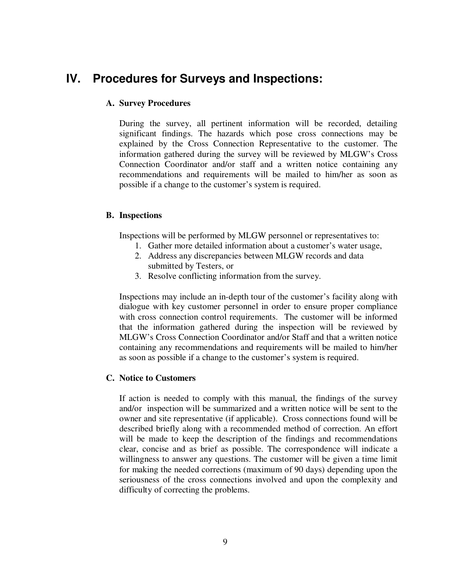# **IV. Procedures for Surveys and Inspections:**

#### **A. Survey Procedures**

During the survey, all pertinent information will be recorded, detailing significant findings. The hazards which pose cross connections may be explained by the Cross Connection Representative to the customer. The information gathered during the survey will be reviewed by MLGW's Cross Connection Coordinator and/or staff and a written notice containing any recommendations and requirements will be mailed to him/her as soon as possible if a change to the customer's system is required.

#### **B. Inspections**

Inspections will be performed by MLGW personnel or representatives to:

- 1. Gather more detailed information about a customer's water usage,
- 2. Address any discrepancies between MLGW records and data submitted by Testers, or
- 3. Resolve conflicting information from the survey.

Inspections may include an in-depth tour of the customer's facility along with dialogue with key customer personnel in order to ensure proper compliance with cross connection control requirements. The customer will be informed that the information gathered during the inspection will be reviewed by MLGW's Cross Connection Coordinator and/or Staff and that a written notice containing any recommendations and requirements will be mailed to him/her as soon as possible if a change to the customer's system is required.

#### **C. Notice to Customers**

If action is needed to comply with this manual, the findings of the survey and/or inspection will be summarized and a written notice will be sent to the owner and site representative (if applicable). Cross connections found will be described briefly along with a recommended method of correction. An effort will be made to keep the description of the findings and recommendations clear, concise and as brief as possible. The correspondence will indicate a willingness to answer any questions. The customer will be given a time limit for making the needed corrections (maximum of 90 days) depending upon the seriousness of the cross connections involved and upon the complexity and difficulty of correcting the problems.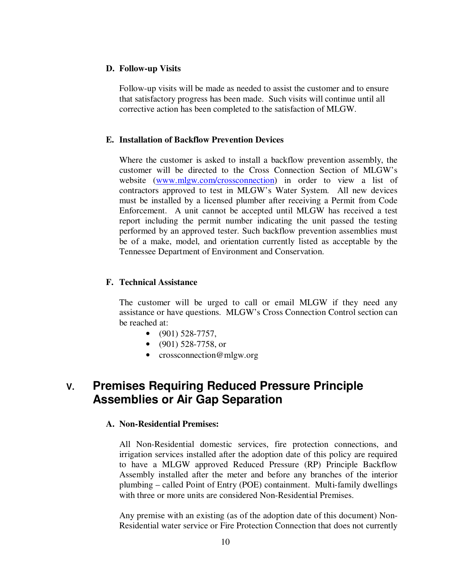#### **D. Follow-up Visits**

Follow-up visits will be made as needed to assist the customer and to ensure that satisfactory progress has been made. Such visits will continue until all corrective action has been completed to the satisfaction of MLGW.

#### **E. Installation of Backflow Prevention Devices**

Where the customer is asked to install a backflow prevention assembly, the customer will be directed to the Cross Connection Section of MLGW's website (www.mlgw.com/crossconnection) in order to view a list of contractors approved to test in MLGW's Water System. All new devices must be installed by a licensed plumber after receiving a Permit from Code Enforcement. A unit cannot be accepted until MLGW has received a test report including the permit number indicating the unit passed the testing performed by an approved tester. Such backflow prevention assemblies must be of a make, model, and orientation currently listed as acceptable by the Tennessee Department of Environment and Conservation.

#### **F. Technical Assistance**

The customer will be urged to call or email MLGW if they need any assistance or have questions. MLGW's Cross Connection Control section can be reached at:

- $\bullet$  (901) 528-7757,
- $\bullet$  (901) 528-7758, or
- crossconnection@mlgw.org

# **V. Premises Requiring Reduced Pressure Principle Assemblies or Air Gap Separation**

#### **A. Non-Residential Premises:**

All Non-Residential domestic services, fire protection connections, and irrigation services installed after the adoption date of this policy are required to have a MLGW approved Reduced Pressure (RP) Principle Backflow Assembly installed after the meter and before any branches of the interior plumbing – called Point of Entry (POE) containment. Multi-family dwellings with three or more units are considered Non-Residential Premises.

Any premise with an existing (as of the adoption date of this document) Non-Residential water service or Fire Protection Connection that does not currently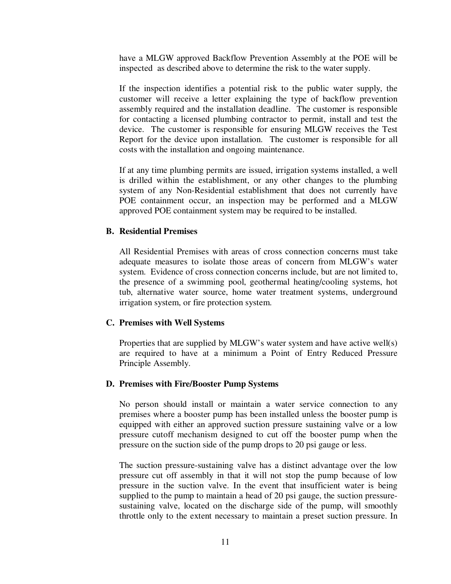have a MLGW approved Backflow Prevention Assembly at the POE will be inspected as described above to determine the risk to the water supply.

If the inspection identifies a potential risk to the public water supply, the customer will receive a letter explaining the type of backflow prevention assembly required and the installation deadline. The customer is responsible for contacting a licensed plumbing contractor to permit, install and test the device. The customer is responsible for ensuring MLGW receives the Test Report for the device upon installation. The customer is responsible for all costs with the installation and ongoing maintenance.

If at any time plumbing permits are issued, irrigation systems installed, a well is drilled within the establishment, or any other changes to the plumbing system of any Non-Residential establishment that does not currently have POE containment occur, an inspection may be performed and a MLGW approved POE containment system may be required to be installed.

#### **B. Residential Premises**

All Residential Premises with areas of cross connection concerns must take adequate measures to isolate those areas of concern from MLGW's water system. Evidence of cross connection concerns include, but are not limited to, the presence of a swimming pool, geothermal heating/cooling systems, hot tub, alternative water source, home water treatment systems, underground irrigation system, or fire protection system.

#### **C. Premises with Well Systems**

Properties that are supplied by MLGW's water system and have active well(s) are required to have at a minimum a Point of Entry Reduced Pressure Principle Assembly.

#### **D. Premises with Fire/Booster Pump Systems**

No person should install or maintain a water service connection to any premises where a booster pump has been installed unless the booster pump is equipped with either an approved suction pressure sustaining valve or a low pressure cutoff mechanism designed to cut off the booster pump when the pressure on the suction side of the pump drops to 20 psi gauge or less.

The suction pressure-sustaining valve has a distinct advantage over the low pressure cut off assembly in that it will not stop the pump because of low pressure in the suction valve. In the event that insufficient water is being supplied to the pump to maintain a head of 20 psi gauge, the suction pressuresustaining valve, located on the discharge side of the pump, will smoothly throttle only to the extent necessary to maintain a preset suction pressure. In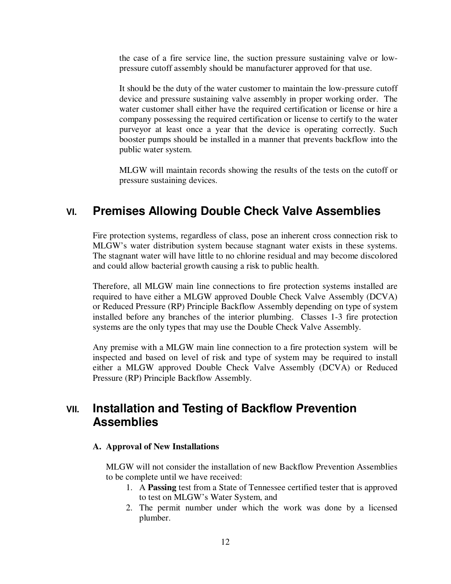the case of a fire service line, the suction pressure sustaining valve or lowpressure cutoff assembly should be manufacturer approved for that use.

It should be the duty of the water customer to maintain the low-pressure cutoff device and pressure sustaining valve assembly in proper working order. The water customer shall either have the required certification or license or hire a company possessing the required certification or license to certify to the water purveyor at least once a year that the device is operating correctly. Such booster pumps should be installed in a manner that prevents backflow into the public water system.

MLGW will maintain records showing the results of the tests on the cutoff or pressure sustaining devices.

# **VI. Premises Allowing Double Check Valve Assemblies**

Fire protection systems, regardless of class, pose an inherent cross connection risk to MLGW's water distribution system because stagnant water exists in these systems. The stagnant water will have little to no chlorine residual and may become discolored and could allow bacterial growth causing a risk to public health.

Therefore, all MLGW main line connections to fire protection systems installed are required to have either a MLGW approved Double Check Valve Assembly (DCVA) or Reduced Pressure (RP) Principle Backflow Assembly depending on type of system installed before any branches of the interior plumbing. Classes 1-3 fire protection systems are the only types that may use the Double Check Valve Assembly.

Any premise with a MLGW main line connection to a fire protection system will be inspected and based on level of risk and type of system may be required to install either a MLGW approved Double Check Valve Assembly (DCVA) or Reduced Pressure (RP) Principle Backflow Assembly.

# **VII. Installation and Testing of Backflow Prevention Assemblies**

#### **A. Approval of New Installations**

MLGW will not consider the installation of new Backflow Prevention Assemblies to be complete until we have received:

- 1. A **Passing** test from a State of Tennessee certified tester that is approved to test on MLGW's Water System, and
- 2. The permit number under which the work was done by a licensed plumber.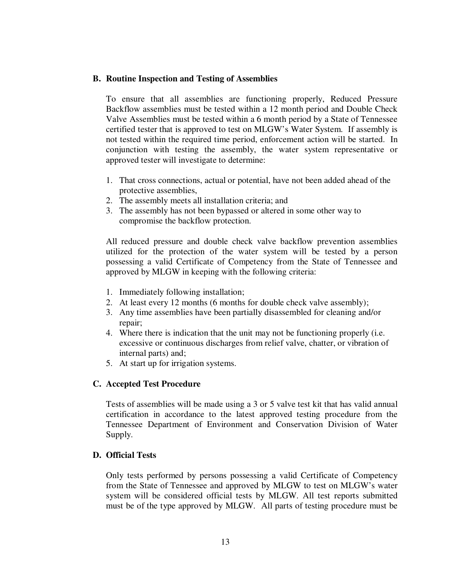#### **B. Routine Inspection and Testing of Assemblies**

To ensure that all assemblies are functioning properly, Reduced Pressure Backflow assemblies must be tested within a 12 month period and Double Check Valve Assemblies must be tested within a 6 month period by a State of Tennessee certified tester that is approved to test on MLGW's Water System. If assembly is not tested within the required time period, enforcement action will be started. In conjunction with testing the assembly, the water system representative or approved tester will investigate to determine:

- 1. That cross connections, actual or potential, have not been added ahead of the protective assemblies,
- 2. The assembly meets all installation criteria; and
- 3. The assembly has not been bypassed or altered in some other way to compromise the backflow protection.

All reduced pressure and double check valve backflow prevention assemblies utilized for the protection of the water system will be tested by a person possessing a valid Certificate of Competency from the State of Tennessee and approved by MLGW in keeping with the following criteria:

- 1. Immediately following installation;
- 2. At least every 12 months (6 months for double check valve assembly);
- 3. Any time assemblies have been partially disassembled for cleaning and/or repair;
- 4. Where there is indication that the unit may not be functioning properly (i.e. excessive or continuous discharges from relief valve, chatter, or vibration of internal parts) and;
- 5. At start up for irrigation systems.

#### **C. Accepted Test Procedure**

Tests of assemblies will be made using a 3 or 5 valve test kit that has valid annual certification in accordance to the latest approved testing procedure from the Tennessee Department of Environment and Conservation Division of Water Supply.

#### **D. Official Tests**

Only tests performed by persons possessing a valid Certificate of Competency from the State of Tennessee and approved by MLGW to test on MLGW's water system will be considered official tests by MLGW. All test reports submitted must be of the type approved by MLGW. All parts of testing procedure must be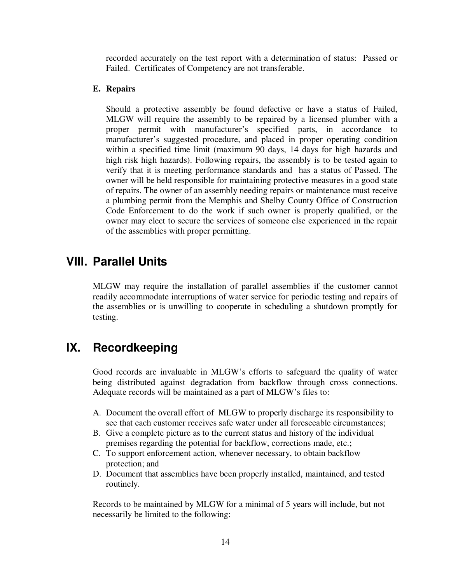recorded accurately on the test report with a determination of status: Passed or Failed. Certificates of Competency are not transferable.

#### **E. Repairs**

Should a protective assembly be found defective or have a status of Failed, MLGW will require the assembly to be repaired by a licensed plumber with a proper permit with manufacturer's specified parts, in accordance to manufacturer's suggested procedure, and placed in proper operating condition within a specified time limit (maximum 90 days, 14 days for high hazards and high risk high hazards). Following repairs, the assembly is to be tested again to verify that it is meeting performance standards and has a status of Passed. The owner will be held responsible for maintaining protective measures in a good state of repairs. The owner of an assembly needing repairs or maintenance must receive a plumbing permit from the Memphis and Shelby County Office of Construction Code Enforcement to do the work if such owner is properly qualified, or the owner may elect to secure the services of someone else experienced in the repair of the assemblies with proper permitting.

### **VIII. Parallel Units**

MLGW may require the installation of parallel assemblies if the customer cannot readily accommodate interruptions of water service for periodic testing and repairs of the assemblies or is unwilling to cooperate in scheduling a shutdown promptly for testing.

## **IX. Recordkeeping**

Good records are invaluable in MLGW's efforts to safeguard the quality of water being distributed against degradation from backflow through cross connections. Adequate records will be maintained as a part of MLGW's files to:

- A. Document the overall effort of MLGW to properly discharge its responsibility to see that each customer receives safe water under all foreseeable circumstances;
- B. Give a complete picture as to the current status and history of the individual premises regarding the potential for backflow, corrections made, etc.;
- C. To support enforcement action, whenever necessary, to obtain backflow protection; and
- D. Document that assemblies have been properly installed, maintained, and tested routinely.

Records to be maintained by MLGW for a minimal of 5 years will include, but not necessarily be limited to the following: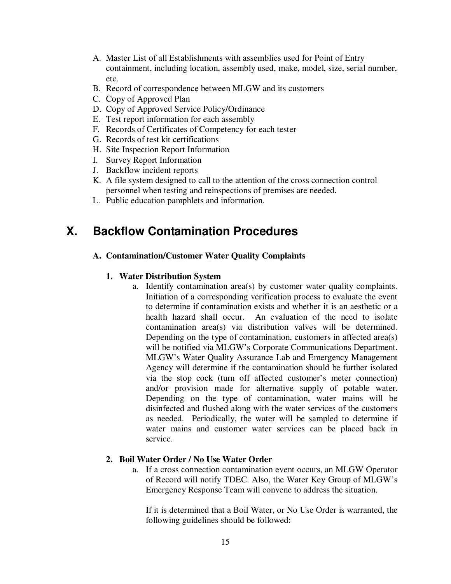- A. Master List of all Establishments with assemblies used for Point of Entry containment, including location, assembly used, make, model, size, serial number, etc.
- B. Record of correspondence between MLGW and its customers
- C. Copy of Approved Plan
- D. Copy of Approved Service Policy/Ordinance
- E. Test report information for each assembly
- F. Records of Certificates of Competency for each tester
- G. Records of test kit certifications
- H. Site Inspection Report Information
- I. Survey Report Information
- J. Backflow incident reports
- K. A file system designed to call to the attention of the cross connection control personnel when testing and reinspections of premises are needed.
- L. Public education pamphlets and information.

# **X. Backflow Contamination Procedures**

#### **A. Contamination/Customer Water Quality Complaints**

#### **1. Water Distribution System**

a. Identify contamination area(s) by customer water quality complaints. Initiation of a corresponding verification process to evaluate the event to determine if contamination exists and whether it is an aesthetic or a health hazard shall occur. An evaluation of the need to isolate contamination area(s) via distribution valves will be determined. Depending on the type of contamination, customers in affected area(s) will be notified via MLGW's Corporate Communications Department. MLGW's Water Quality Assurance Lab and Emergency Management Agency will determine if the contamination should be further isolated via the stop cock (turn off affected customer's meter connection) and/or provision made for alternative supply of potable water. Depending on the type of contamination, water mains will be disinfected and flushed along with the water services of the customers as needed. Periodically, the water will be sampled to determine if water mains and customer water services can be placed back in service.

#### **2. Boil Water Order / No Use Water Order**

a. If a cross connection contamination event occurs, an MLGW Operator of Record will notify TDEC. Also, the Water Key Group of MLGW's Emergency Response Team will convene to address the situation.

If it is determined that a Boil Water, or No Use Order is warranted, the following guidelines should be followed: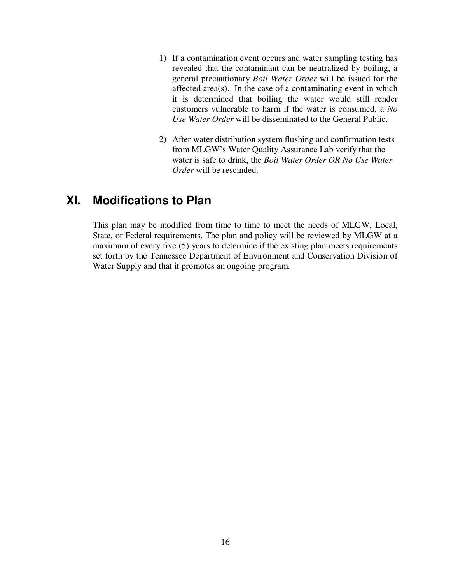- 1) If a contamination event occurs and water sampling testing has revealed that the contaminant can be neutralized by boiling, a general precautionary *Boil Water Order* will be issued for the affected area(s). In the case of a contaminating event in which it is determined that boiling the water would still render customers vulnerable to harm if the water is consumed, a *No Use Water Order* will be disseminated to the General Public.
- 2) After water distribution system flushing and confirmation tests from MLGW's Water Quality Assurance Lab verify that the water is safe to drink, the *Boil Water Order OR No Use Water Order* will be rescinded.

# **XI. Modifications to Plan**

This plan may be modified from time to time to meet the needs of MLGW, Local, State, or Federal requirements. The plan and policy will be reviewed by MLGW at a maximum of every five (5) years to determine if the existing plan meets requirements set forth by the Tennessee Department of Environment and Conservation Division of Water Supply and that it promotes an ongoing program.